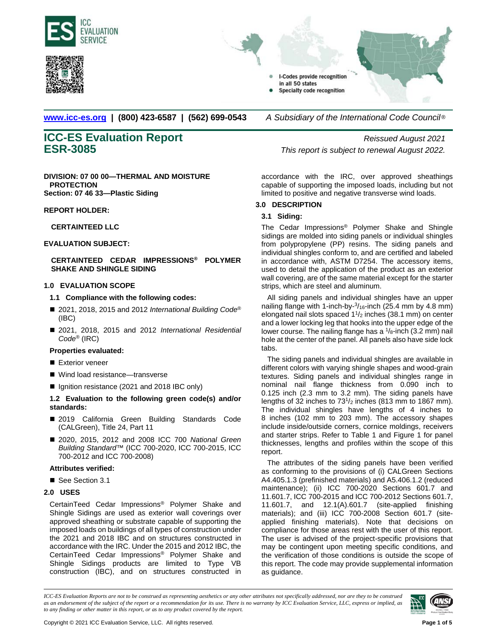





**[www.icc-es.org](http://www.icc-es.org/) | (800) 423-6587 | (562) 699-0543** *A Subsidiary of the International Code Council* ®

**DIVISION: 07 00 00—THERMAL AND MOISTURE PROTECTION Section: 07 46 33—Plastic Siding**

**REPORT HOLDER:**

## **CERTAINTEED LLC**

## **EVALUATION SUBJECT:**

# **CERTAINTEED CEDAR IMPRESSIONS® POLYMER SHAKE AND SHINGLE SIDING**

## **1.0 EVALUATION SCOPE**

## **1.1 Compliance with the following codes:**

- 2021, 2018, 2015 and 2012 *International Building Code*<sup>®</sup> (IBC)
- 2021, 2018, 2015 and 2012 *International Residential Code*® (IRC)

#### **Properties evaluated:**

- Exterior veneer
- Wind load resistance—transverse
- Ignition resistance (2021 and 2018 IBC only)

# **1.2 Evaluation to the following green code(s) and/or standards:**

- 2019 California Green Building Standards Code (CALGreen), Title 24, Part 11
- 2020, 2015, 2012 and 2008 ICC 700 *National Green Building Standard*™ (ICC 700-2020, ICC 700-2015, ICC 700-2012 and ICC 700-2008)

#### **Attributes verified:**

■ See Section 3.1

# **2.0 USES**

CertainTeed Cedar Impressions® Polymer Shake and Shingle Sidings are used as exterior wall coverings over approved sheathing or substrate capable of supporting the imposed loads on buildings of all types of construction under the 2021 and 2018 IBC and on structures constructed in accordance with the IRC. Under the 2015 and 2012 IBC, the CertainTeed Cedar Impressions® Polymer Shake and Shingle Sidings products are limited to Type VB construction (IBC), and on structures constructed in

**ICC-ES Evaluation Report** *Reissued August 2021* **ESR-3085** *This report is subject to renewal August 2022.*

> accordance with the IRC, over approved sheathings capable of supporting the imposed loads, including but not limited to positive and negative transverse wind loads.

# **3.0 DESCRIPTION**

## **3.1 Siding:**

The Cedar Impressions® Polymer Shake and Shingle sidings are molded into siding panels or individual shingles from polypropylene (PP) resins. The siding panels and individual shingles conform to, and are certified and labeled in accordance with, ASTM D7254. The accessory items, used to detail the application of the product as an exterior wall covering, are of the same material except for the starter strips, which are steel and aluminum.

All siding panels and individual shingles have an upper nailing flange with 1-inch-by-<sup>3</sup>/<sub>16</sub>-inch (25.4 mm by 4.8 mm) elongated nail slots spaced  $1\frac{1}{2}$  inches (38.1 mm) on center and a lower locking leg that hooks into the upper edge of the lower course. The nailing flange has a  $\frac{1}{8}$ -inch (3.2 mm) nail hole at the center of the panel. All panels also have side lock tabs.

The siding panels and individual shingles are available in different colors with varying shingle shapes and wood-grain textures. Siding panels and individual shingles range in nominal nail flange thickness from 0.090 inch to 0.125 inch (2.3 mm to 3.2 mm). The siding panels have lengths of  $32$  inches to  $73<sup>1</sup>/2$  inches (813 mm to 1867 mm). The individual shingles have lengths of 4 inches to 8 inches (102 mm to 203 mm). The accessory shapes include inside/outside corners, cornice moldings, receivers and starter strips. Refer to Table 1 and Figure 1 for panel thicknesses, lengths and profiles within the scope of this report.

The attributes of the siding panels have been verified as conforming to the provisions of (i) CALGreen Sections A4.405.1.3 (prefinished materials) and A5.406.1.2 (reduced maintenance); (ii) ICC 700-2020 Sections 601.7 and 11.601.7, ICC 700-2015 and ICC 700-2012 Sections 601.7, 11.601.7, and 12.1(A).601.7 (site-applied finishing materials); and (iii) ICC 700-2008 Section 601.7 (siteapplied finishing materials). Note that decisions on compliance for those areas rest with the user of this report. The user is advised of the project-specific provisions that may be contingent upon meeting specific conditions, and the verification of those conditions is outside the scope of this report. The code may provide supplemental information as guidance.

*ICC-ES Evaluation Reports are not to be construed as representing aesthetics or any other attributes not specifically addressed, nor are they to be construed as an endorsement of the subject of the report or a recommendation for its use. There is no warranty by ICC Evaluation Service, LLC, express or implied, as to any finding or other matter in this report, or as to any product covered by the report.*

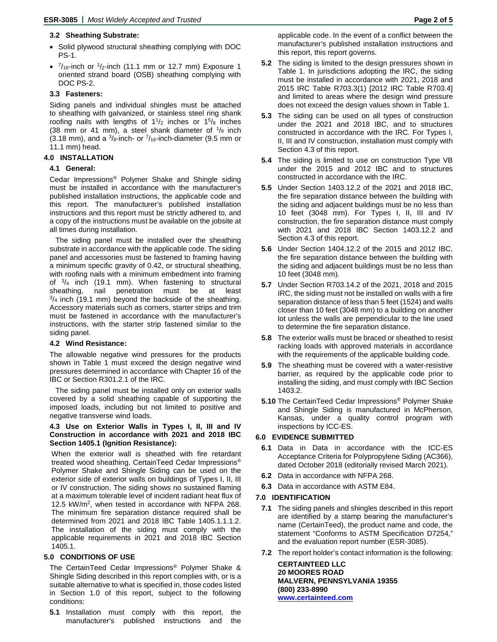# **3.2 Sheathing Substrate:**

- Solid plywood structural sheathing complying with DOC PS-1.
- $\frac{7}{16}$ -inch or  $\frac{1}{2}$ -inch (11.1 mm or 12.7 mm) Exposure 1 oriented strand board (OSB) sheathing complying with DOC PS-2.

# **3.3 Fasteners:**

Siding panels and individual shingles must be attached to sheathing with galvanized, or stainless steel ring shank roofing nails with lengths of  $1\frac{1}{2}$  inches or  $1\frac{5}{8}$  inches (38 mm or 41 mm), a steel shank diameter of  $\frac{1}{8}$  inch (3.18 mm), and a  $\frac{3}{8}$ -inch- or  $\frac{7}{16}$ -inch-diameter (9.5 mm or 11.1 mm) head.

# **4.0 INSTALLATION**

#### **4.1 General:**

Cedar Impressions® Polymer Shake and Shingle siding must be installed in accordance with the manufacturer's published installation instructions, the applicable code and this report. The manufacturer's published installation instructions and this report must be strictly adhered to, and a copy of the instructions must be available on the jobsite at all times during installation.

The siding panel must be installed over the sheathing substrate in accordance with the applicable code. The siding panel and accessories must be fastened to framing having a minimum specific gravity of 0.42, or structural sheathing, with roofing nails with a minimum embedment into framing of  $\frac{3}{4}$  inch (19.1 mm). When fastening to structural sheathing, nail penetration must be at least  $3/4$  inch (19.1 mm) beyond the backside of the sheathing. Accessory materials such as corners, starter strips and trim must be fastened in accordance with the manufacturer's instructions, with the starter strip fastened similar to the siding panel.

#### **4.2 Wind Resistance:**

The allowable negative wind pressures for the products shown in Table 1 must exceed the design negative wind pressures determined in accordance with Chapter 16 of the IBC or Section R301.2.1 of the IRC.

The siding panel must be installed only on exterior walls covered by a solid sheathing capable of supporting the imposed loads, including but not limited to positive and negative transverse wind loads.

#### **4.3 Use on Exterior Walls in Types I, II, III and IV Construction in accordance with 2021 and 2018 IBC Section 1405.1 (Ignition Resistance):**

When the exterior wall is sheathed with fire retardant treated wood sheathing, CertainTeed Cedar Impressions® Polymer Shake and Shingle Siding can be used on the exterior side of exterior walls on buildings of Types I, II, III or IV construction. The siding shows no sustained flaming at a maximum tolerable level of incident radiant heat flux of 12.5 kW/m2, when tested in accordance with NFPA 268. The minimum fire separation distance required shall be determined from 2021 and 2018 IBC Table 1405.1.1.1.2. The installation of the siding must comply with the applicable requirements in 2021 and 2018 IBC Section 1405.1.

#### **5.0 CONDITIONS OF USE**

The CertainTeed Cedar Impressions® Polymer Shake & Shingle Siding described in this report complies with, or is a suitable alternative to what is specified in, those codes listed in Section 1.0 of this report, subject to the following conditions:

**5.1** Installation must comply with this report, the manufacturer's published instructions and the applicable code. In the event of a conflict between the manufacturer's published installation instructions and this report, this report governs.

- **5.2** The siding is limited to the design pressures shown in Table 1. In jurisdictions adopting the IRC, the siding must be installed in accordance with 2021, 2018 and 2015 IRC Table R703.3(1) [2012 IRC Table R703.4] and limited to areas where the design wind pressure does not exceed the design values shown in Table 1.
- **5.3** The siding can be used on all types of construction under the 2021 and 2018 IBC, and to structures constructed in accordance with the IRC. For Types I, II, III and IV construction, installation must comply with Section 4.3 of this report.
- **5.4** The siding is limited to use on construction Type VB under the 2015 and 2012 IBC and to structures constructed in accordance with the IRC.
- **5.5** Under Section 1403.12.2 of the 2021 and 2018 IBC, the fire separation distance between the building with the siding and adjacent buildings must be no less than 10 feet (3048 mm). For Types I, II, III and IV construction, the fire separation distance must comply with 2021 and 2018 IBC Section 1403.12.2 and Section 4.3 of this report.
- **5.6** Under Section 1404.12.2 of the 2015 and 2012 IBC, the fire separation distance between the building with the siding and adjacent buildings must be no less than 10 feet (3048 mm).
- **5.7** Under Section R703.14.2 of the 2021, 2018 and 2015 IRC, the siding must not be installed on walls with a fire separation distance of less than 5 feet (1524) and walls closer than 10 feet (3048 mm) to a building on another lot unless the walls are perpendicular to the line used to determine the fire separation distance.
- **5.8** The exterior walls must be braced or sheathed to resist racking loads with approved materials in accordance with the requirements of the applicable building code.
- **5.9** The sheathing must be covered with a water-resistive barrier, as required by the applicable code prior to installing the siding, and must comply with IBC Section 1403.2.
- **5.10** The CertainTeed Cedar Impressions® Polymer Shake and Shingle Siding is manufactured in McPherson, Kansas, under a quality control program with inspections by ICC-ES.

# **6.0 EVIDENCE SUBMITTED**

- **6.1** Data in Data in accordance with the ICC-ES Acceptance Criteria for Polypropylene Siding (AC366), dated October 2018 (editorially revised March 2021).
- **6.2** Data in accordance with NFPA 268.
- **6.3** Data in accordance with ASTM E84.

#### **7.0 IDENTIFICATION**

- **7.1** The siding panels and shingles described in this report are identified by a stamp bearing the manufacturer's name (CertainTeed), the product name and code, the statement "Conforms to ASTM Specification D7254," and the evaluation report number (ESR-3085).
- **7.2** The report holder's contact information is the following:

**CERTAINTEED LLC 20 MOORES ROAD MALVERN, PENNSYLVANIA 19355 (800) 233-8990 [www.certainteed.com](http://www.certainteed.com/)**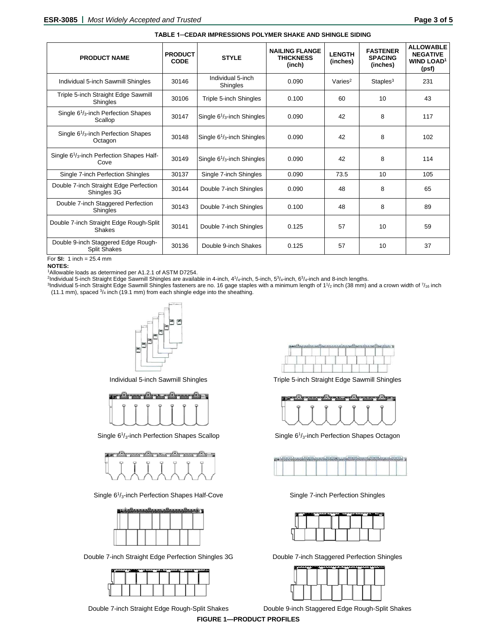| <b>PRODUCT NAME</b>                                                        | <b>PRODUCT</b><br><b>CODE</b> | <b>STYLE</b>                         | <b>NAILING FLANGE</b><br><b>THICKNESS</b><br>(inch) | <b>LENGTH</b><br>(inches) | <b>FASTENER</b><br><b>SPACING</b><br>(inches) | <b>ALLOWABLE</b><br><b>NEGATIVE</b><br><b>WIND LOAD1</b><br>(psf) |
|----------------------------------------------------------------------------|-------------------------------|--------------------------------------|-----------------------------------------------------|---------------------------|-----------------------------------------------|-------------------------------------------------------------------|
| Individual 5-inch Sawmill Shingles                                         | 30146                         | Individual 5-inch<br>Shingles        | 0.090                                               | Varies $2$                | Staples <sup>3</sup>                          | 231                                                               |
| Triple 5-inch Straight Edge Sawmill<br>Shingles                            | 30106                         | Triple 5-inch Shingles               | 0.100                                               | 60                        | 10                                            | 43                                                                |
| Single $61/3$ -inch Perfection Shapes<br>Scallop                           | 30147                         | Single $6\frac{1}{3}$ -inch Shingles | 0.090                                               | 42                        | 8                                             | 117                                                               |
| Single $61/3$ -inch Perfection Shapes<br>Octagon                           | 30148                         | Single $6\frac{1}{3}$ -inch Shingles | 0.090                                               | 42                        | 8                                             | 102                                                               |
| Single 6 <sup>1</sup> / <sub>3</sub> -inch Perfection Shapes Half-<br>Cove | 30149                         | Single $6\frac{1}{3}$ -inch Shingles | 0.090                                               | 42                        | 8                                             | 114                                                               |
| Single 7-inch Perfection Shingles<br>30137                                 |                               | Single 7-inch Shingles               | 0.090                                               | 73.5                      | 10                                            | 105                                                               |
| Double 7-inch Straight Edge Perfection<br>Shingles 3G                      | 30144                         | Double 7-inch Shingles               | 0.090                                               | 48                        | 8                                             | 65                                                                |
| Double 7-inch Staggered Perfection<br><b>Shingles</b>                      | 30143                         | Double 7-inch Shingles               | 0.100                                               | 48                        | 8                                             | 89                                                                |
| Double 7-inch Straight Edge Rough-Split<br><b>Shakes</b>                   | 30141                         | Double 7-inch Shingles               | 0.125                                               | 57                        | 10                                            | 59                                                                |
| Double 9-inch Staggered Edge Rough-<br><b>Split Shakes</b>                 | 30136                         | Double 9-inch Shakes                 | 0.125                                               | 57                        | 10                                            | 37                                                                |

**TABLE 1─CEDAR IMPRESSIONS POLYMER SHAKE AND SHINGLE SIDING**

For **SI:** 1 inch = 25.4 mm

**NOTES:**

<sup>1</sup>Allowable loads as determined per A1.2.1 of ASTM D7254.<br><sup>2</sup>Individual 5-inch Straight Edge Sawmill Shingles are available in 4-inch, 4¼-inch, 5-inch, 5¾-inch, 6¾-inch and 8-inch lengths.<br><sup>3</sup>Individual 5-inch Straight Ed (11.1 mm), spaced  $3/4$  inch (19.1 mm) from each shingle edge into the sheathing.



<del>q</del>@<del>quenter\_</del>@<del>quenter\_</del>@quen



Single 6<sup>1</sup>/<sub>3</sub>-inch Perfection Shapes Scallop Single 6<sup>1</sup>



Single 6<sup>1</sup>/<sub>3</sub>-inch Perfection Shapes Half-Cove Single 7-inch Perfection Shingles



Double 7-inch Straight Edge Perfection Shingles 3G Double 7-inch Staggered Perfection Shingles





Individual 5-inch Sawmill Shingles Triple 5-inch Straight Edge Sawmill Shingles

|  |  | <del>ي موالات محمد مالات محمد مالات محمد مالات م</del> حي |
|--|--|-----------------------------------------------------------|
|  |  |                                                           |



Single  $6^{1}/_{3}$ -inch Perfection Shapes Octagon







Double 7-inch Straight Edge Rough-Split Shakes Double 9-inch Staggered Edge Rough-Split Shakes

**FIGURE 1—PRODUCT PROFILES**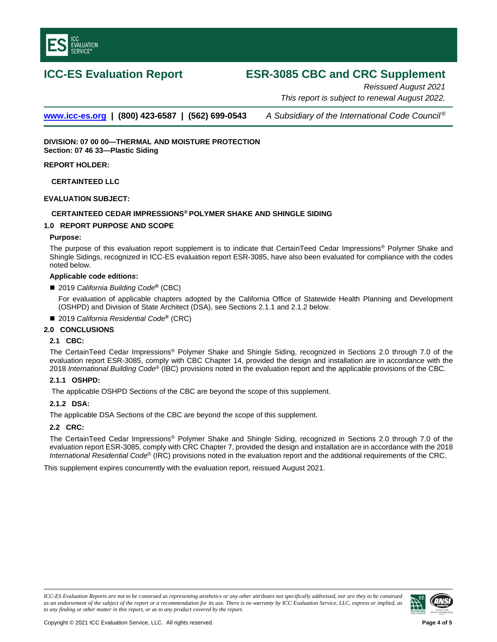

# **ICC-ES Evaluation Report ESR-3085 CBC and CRC Supplement**

*Reissued August 2021 This report is subject to renewal August 2022.* 

**[www.icc-es.org](http://www.icc-es.org/) | (800) 423-6587 | (562) 699-0543** *A Subsidiary of the International Code Council ®*

**DIVISION: 07 00 00—THERMAL AND MOISTURE PROTECTION Section: 07 46 33—Plastic Siding** 

## **REPORT HOLDER:**

**CERTAINTEED LLC**

## **EVALUATION SUBJECT:**

# **CERTAINTEED CEDAR IMPRESSIONS® POLYMER SHAKE AND SHINGLE SIDING**

## **1.0 REPORT PURPOSE AND SCOPE**

#### **Purpose:**

The purpose of this evaluation report supplement is to indicate that CertainTeed Cedar Impressions® Polymer Shake and Shingle Sidings, recognized in ICC-ES evaluation report ESR-3085, have also been evaluated for compliance with the codes noted below.

#### **Applicable code edition***s***:**

2019 *California Building Code***®** (CBC)

For evaluation of applicable chapters adopted by the California Office of Statewide Health Planning and Development (OSHPD) and Division of State Architect (DSA), see Sections 2.1.1 and 2.1.2 below.

■ 2019 *California Residential Code*<sup>®</sup> (CRC)

# **2.0 CONCLUSIONS**

# **2.1 CBC:**

The CertainTeed Cedar Impressions® Polymer Shake and Shingle Siding, recognized in Sections 2.0 through 7.0 of the evaluation report ESR-3085, comply with CBC Chapter 14, provided the design and installation are in accordance with the 2018 *International Building Code*® (IBC) provisions noted in the evaluation report and the applicable provisions of the CBC.

#### **2.1.1 OSHPD:**

The applicable OSHPD Sections of the CBC are beyond the scope of this supplement.

#### **2.1.2 DSA:**

The applicable DSA Sections of the CBC are beyond the scope of this supplement.

#### **2.2 CRC:**

The CertainTeed Cedar Impressions® Polymer Shake and Shingle Siding, recognized in Sections 2.0 through 7.0 of the evaluation report ESR-3085, comply with CRC Chapter 7, provided the design and installation are in accordance with the 2018 *International Residential Code*® (IRC) provisions noted in the evaluation report and the additional requirements of the CRC.

This supplement expires concurrently with the evaluation report, reissued August 2021.